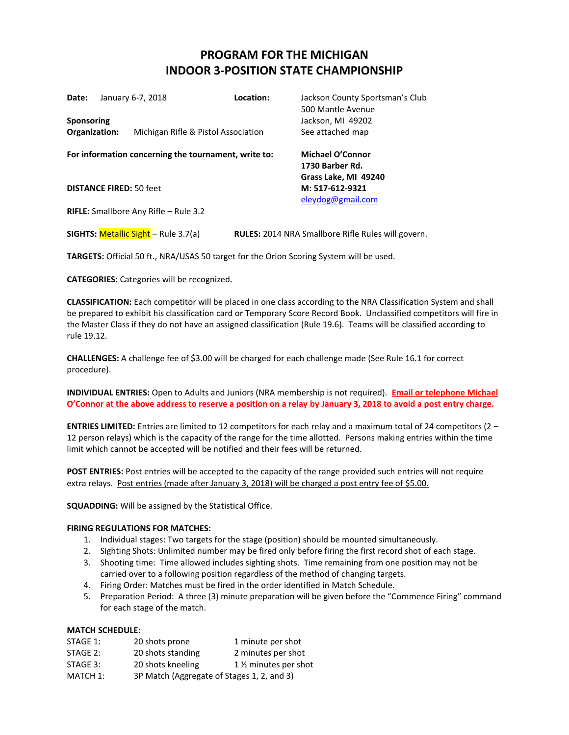## **PROGRAM FOR THE MICHIGAN INDOOR 3-POSITION STATE CHAMPIONSHIP**

| Date:             |                                | January 6-7, 2018                            | Location:                                            | Jackson County Sportsman's Club<br>500 Mantle Avenue         |
|-------------------|--------------------------------|----------------------------------------------|------------------------------------------------------|--------------------------------------------------------------|
| <b>Sponsoring</b> |                                |                                              |                                                      | Jackson, MI 49202                                            |
| Organization:     |                                | Michigan Rifle & Pistol Association          |                                                      | See attached map                                             |
|                   |                                |                                              | For information concerning the tournament, write to: | <b>Michael O'Connor</b><br>1730 Barber Rd.                   |
|                   | <b>DISTANCE FIRED: 50 feet</b> |                                              |                                                      | Grass Lake, MI 49240<br>M: 517-612-9321<br>eleydog@gmail.com |
|                   |                                | <b>RIFLE:</b> Smallbore Any Rifle – Rule 3.2 |                                                      |                                                              |
|                   |                                | <b>SIGHTS: Metallic Sight - Rule 3.7(a)</b>  |                                                      | <b>RULES: 2014 NRA Smallbore Rifle Rules will govern.</b>    |

**TARGETS:** Official 50 ft., NRA/USAS 50 target for the Orion Scoring System will be used.

**CATEGORIES:** Categories will be recognized.

**CLASSIFICATION:** Each competitor will be placed in one class according to the NRA Classification System and shall be prepared to exhibit his classification card or Temporary Score Record Book. Unclassified competitors will fire in the Master Class if they do not have an assigned classification (Rule 19.6). Teams will be classified according to rule 19.12.

**CHALLENGES:** A challenge fee of \$3.00 will be charged for each challenge made (See Rule 16.1 for correct procedure).

**INDIVIDUAL ENTRIES:** Open to Adults and Juniors (NRA membership is not required). **Email or telephone Michael O'Connor at the above address to reserve a position on a relay by January 3, 2018 to avoid a post entry charge.**

**ENTRIES LIMITED:** Entries are limited to 12 competitors for each relay and a maximum total of 24 competitors (2 – 12 person relays) which is the capacity of the range for the time allotted. Persons making entries within the time limit which cannot be accepted will be notified and their fees will be returned.

**POST ENTRIES:** Post entries will be accepted to the capacity of the range provided such entries will not require extra relays. Post entries (made after January 3, 2018) will be charged a post entry fee of \$5.00.

**SQUADDING:** Will be assigned by the Statistical Office.

## **FIRING REGULATIONS FOR MATCHES:**

- 1. Individual stages: Two targets for the stage (position) should be mounted simultaneously.
- 2. Sighting Shots: Unlimited number may be fired only before firing the first record shot of each stage.
- 3. Shooting time: Time allowed includes sighting shots. Time remaining from one position may not be carried over to a following position regardless of the method of changing targets.
- 4. Firing Order: Matches must be fired in the order identified in Match Schedule.
- 5. Preparation Period: A three (3) minute preparation will be given before the "Commence Firing" command for each stage of the match.

## **MATCH SCHEDULE:**

| STAGE 1: | 20 shots prone                             | 1 minute per shot                  |
|----------|--------------------------------------------|------------------------------------|
| STAGE 2: | 20 shots standing                          | 2 minutes per shot                 |
| STAGE 3: | 20 shots kneeling                          | 1 1/ <sub>2</sub> minutes per shot |
| MATCH 1: | 3P Match (Aggregate of Stages 1, 2, and 3) |                                    |